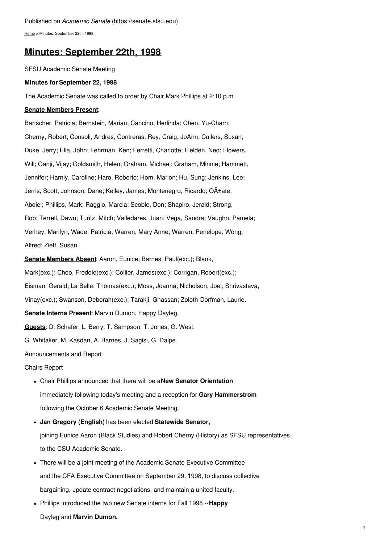[Home](https://senate.sfsu.edu/) > Minutes: September 22th, 1998

# **Minutes: [September](https://senate.sfsu.edu/content/minute-m09-22-98) 22th, 1998**

SFSU Academic Senate Meeting

### **Minutes for September 22, 1998**

The Academic Senate was called to order by Chair Mark Phillips at 2:10 p.m.

### **Senate Members Present**:

Bartscher, Patricia; Bernstein, Marian; Cancino, Herlinda; Chen, Yu-Charn; Cherny, Robert; Consoli, Andres; Contreras, Rey; Craig, JoAnn; Cullers, Susan; Duke, Jerry; Elia, John; Fehrman, Ken; Ferretti, Charlotte; Fielden, Ned; Flowers, Will; Ganji, Vijay; Goldsmith, Helen; Graham, Michael; Graham, Minnie; Hammett, Jennifer; Harnly, Caroline; Haro, Roberto; Hom, Marlon; Hu, Sung; Jenkins, Lee; Jerris, Scott; Johnson, Dane; Kelley, James; Montenegro, Ricardo; O±ate, Abdiel; Phillips, Mark; Raggio, Marcia; Scoble, Don; Shapiro, Jerald; Strong, Rob; Terrell, Dawn; Turitz, Mitch; Valledares, Juan; Vega, Sandra; Vaughn, Pamela; Verhey, Marilyn; Wade, Patricia; Warren, Mary Anne; Warren, Penelope; Wong, Alfred; Zieff, Susan.

**Senate Members Absent**: Aaron, Eunice; Barnes, Paul(exc.); Blank,

Mark(exc.); Choo, Freddie(exc.); Collier, James(exc.); Corrigan, Robert(exc.);

Eisman, Gerald; La Belle, Thomas(exc.); Moss, Joanna; Nicholson, Joel; Shrivastava,

Vinay(exc.); Swanson, Deborah(exc.); Tarakji, Ghassan; Zoloth-Dorfman, Laurie.

**Senate Interns Present**: Marvin Dumon, Happy Dayleg.

**Guests**: D. Schafer, L. Berry, T. Sampson, T. Jones, G. West,

G. Whitaker, M. Kasdan, A. Barnes, J. Sagisi, G. Dalpe.

Announcements and Report

## Chairs Report

- Chair Phillips announced that there will be a**New Senator Orientation** immediately following today's meeting and a reception for **Gary Hammerstrom** following the October 6 Academic Senate Meeting.
- **Jan Gregory (English)** has been elected **Statewide Senator,** joining Eunice Aaron (Black Studies) and Robert Cherny (History) as SFSU representatives to the CSU Academic Senate.
- There will be a joint meeting of the Academic Senate Executive Committee and the CFA Executive Committee on September 29, 1998, to discuss collective bargaining, update contract negotiations, and maintain a united faculty.
- Phillips introduced the two new Senate interns for Fall 1998 --**Happy**

Dayleg and **Marvin Dumon.**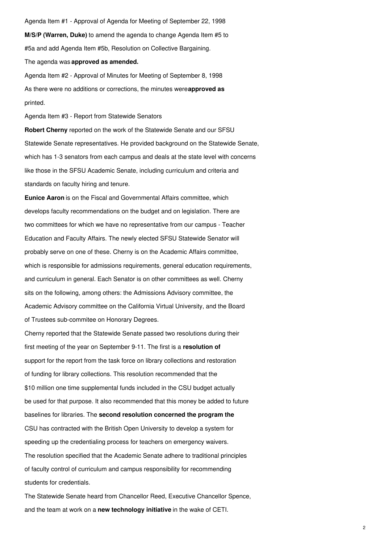Agenda Item #1 - Approval of Agenda for Meeting of September 22, 1998 **M/S/P (Warren, Duke)** to amend the agenda to change Agenda Item #5 to #5a and add Agenda Item #5b, Resolution on Collective Bargaining.

The agenda was **approved as amended.**

Agenda Item #2 - Approval of Minutes for Meeting of September 8, 1998 As there were no additions or corrections, the minutes were**approved as** printed.

Agenda Item #3 - Report from Statewide Senators

**Robert Cherny** reported on the work of the Statewide Senate and our SFSU Statewide Senate representatives. He provided background on the Statewide Senate, which has 1-3 senators from each campus and deals at the state level with concerns like those in the SFSU Academic Senate, including curriculum and criteria and standards on faculty hiring and tenure.

**Eunice Aaron** is on the Fiscal and Governmental Affairs committee, which develops faculty recommendations on the budget and on legislation. There are two committees for which we have no representative from our campus - Teacher Education and Faculty Affairs. The newly elected SFSU Statewide Senator will probably serve on one of these. Cherny is on the Academic Affairs committee, which is responsible for admissions requirements, general education requirements, and curriculum in general. Each Senator is on other committees as well. Cherny sits on the following, among others: the Admissions Advisory committee, the Academic Advisory committee on the California Virtual University, and the Board of Trustees sub-commitee on Honorary Degrees.

Cherny reported that the Statewide Senate passed two resolutions during their first meeting of the year on September 9-11. The first is a **resolution of** support for the report from the task force on library collections and restoration of funding for library collections. This resolution recommended that the \$10 million one time supplemental funds included in the CSU budget actually be used for that purpose. It also recommended that this money be added to future baselines for libraries. The **second resolution concerned the program the** CSU has contracted with the British Open University to develop a system for speeding up the credentialing process for teachers on emergency waivers. The resolution specified that the Academic Senate adhere to traditional principles of faculty control of curriculum and campus responsibility for recommending students for credentials.

The Statewide Senate heard from Chancellor Reed, Executive Chancellor Spence, and the team at work on a **new technology initiative** in the wake of CETI.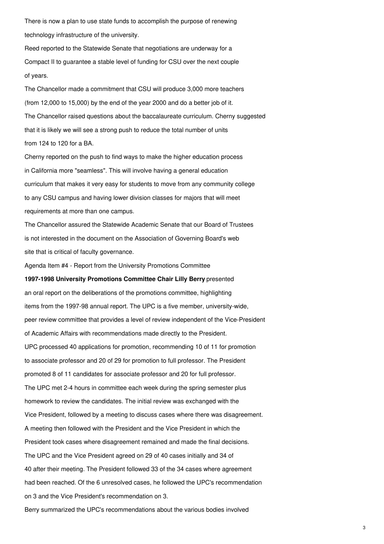There is now a plan to use state funds to accomplish the purpose of renewing technology infrastructure of the university.

Reed reported to the Statewide Senate that negotiations are underway for a Compact II to guarantee a stable level of funding for CSU over the next couple of years.

The Chancellor made a commitment that CSU will produce 3,000 more teachers (from 12,000 to 15,000) by the end of the year 2000 and do a better job of it. The Chancellor raised questions about the baccalaureate curriculum. Cherny suggested that it is likely we will see a strong push to reduce the total number of units from 124 to 120 for a BA.

Cherny reported on the push to find ways to make the higher education process in California more "seamless". This will involve having a general education curriculum that makes it very easy for students to move from any community college to any CSU campus and having lower division classes for majors that will meet requirements at more than one campus.

The Chancellor assured the Statewide Academic Senate that our Board of Trustees is not interested in the document on the Association of Governing Board's web site that is critical of faculty governance.

Agenda Item #4 - Report from the University Promotions Committee

**1997-1998 University Promotions Committee Chair Lilly Berry** presented an oral report on the deliberations of the promotions committee, highlighting items from the 1997-98 annual report. The UPC is a five member, university-wide, peer review committee that provides a level of review independent of the Vice-President of Academic Affairs with recommendations made directly to the President. UPC processed 40 applications for promotion, recommending 10 of 11 for promotion to associate professor and 20 of 29 for promotion to full professor. The President promoted 8 of 11 candidates for associate professor and 20 for full professor. The UPC met 2-4 hours in committee each week during the spring semester plus homework to review the candidates. The initial review was exchanged with the Vice President, followed by a meeting to discuss cases where there was disagreement. A meeting then followed with the President and the Vice President in which the President took cases where disagreement remained and made the final decisions. The UPC and the Vice President agreed on 29 of 40 cases initially and 34 of 40 after their meeting. The President followed 33 of the 34 cases where agreement had been reached. Of the 6 unresolved cases, he followed the UPC's recommendation on 3 and the Vice President's recommendation on 3. Berry summarized the UPC's recommendations about the various bodies involved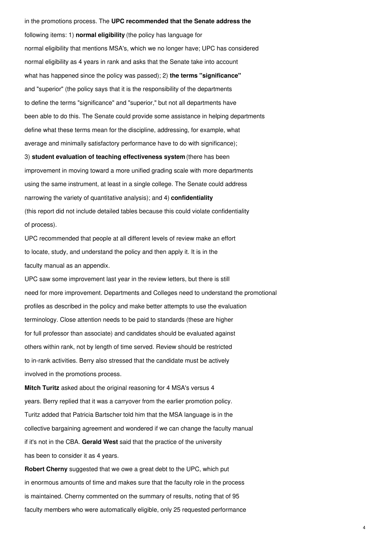in the promotions process. The **UPC recommended that the Senate address the** following items: 1) **normal eligibility** (the policy has language for normal eligibility that mentions MSA's, which we no longer have; UPC has considered normal eligibility as 4 years in rank and asks that the Senate take into account what has happened since the policy was passed); 2) **the terms "significance"** and "superior" (the policy says that it is the responsibility of the departments to define the terms "significance" and "superior," but not all departments have been able to do this. The Senate could provide some assistance in helping departments define what these terms mean for the discipline, addressing, for example, what average and minimally satisfactory performance have to do with significance); 3) **student evaluation of teaching effectiveness system** (there has been improvement in moving toward a more unified grading scale with more departments using the same instrument, at least in a single college. The Senate could address narrowing the variety of quantitative analysis); and 4) **confidentiality** (this report did not include detailed tables because this could violate confidentiality of process).

UPC recommended that people at all different levels of review make an effort to locate, study, and understand the policy and then apply it. It is in the faculty manual as an appendix.

UPC saw some improvement last year in the review letters, but there is still need for more improvement. Departments and Colleges need to understand the promotional profiles as described in the policy and make better attempts to use the evaluation terminology. Close attention needs to be paid to standards (these are higher for full professor than associate) and candidates should be evaluated against others within rank, not by length of time served. Review should be restricted to in-rank activities. Berry also stressed that the candidate must be actively involved in the promotions process.

**Mitch Turitz** asked about the original reasoning for 4 MSA's versus 4 years. Berry replied that it was a carryover from the earlier promotion policy. Turitz added that Patricia Bartscher told him that the MSA language is in the collective bargaining agreement and wondered if we can change the faculty manual if it's not in the CBA. **Gerald West** said that the practice of the university has been to consider it as 4 years.

**Robert Cherny** suggested that we owe a great debt to the UPC, which put in enormous amounts of time and makes sure that the faculty role in the process is maintained. Cherny commented on the summary of results, noting that of 95 faculty members who were automatically eligible, only 25 requested performance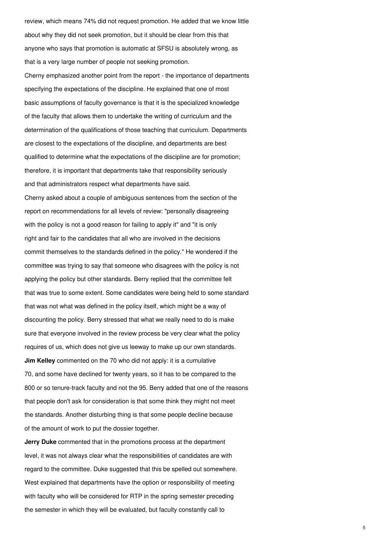review, which means 74% did not request promotion. He added that we know little about why they did not seek promotion, but it should be clear from this that anyone who says that promotion is automatic at SFSU is absolutely wrong, as that is a very large number of people not seeking promotion.

Cherny emphasized another point from the report - the importance of departments specifying the expectations of the discipline. He explained that one of most basic assumptions of faculty governance is that it is the specialized knowledge of the faculty that allows them to undertake the writing of curriculum and the determination of the qualifications of those teaching that curriculum. Departments are closest to the expectations of the discipline, and departments are best qualified to determine what the expectations of the discipline are for promotion; therefore, it is important that departments take that responsibility seriously and that administrators respect what departments have said. Cherny asked about a couple of ambiguous sentences from the section of the report on recommendations for all levels of review: "personally disagreeing with the policy is not a good reason for failing to apply it" and "it is only right and fair to the candidates that all who are involved in the decisions commit themselves to the standards defined in the policy." He wondered if the committee was trying to say that someone who disagrees with the policy is not applying the policy but other standards. Berry replied that the committee felt

that was true to some extent. Some candidates were being held to some standard that was not what was defined in the policy itself, which might be a way of discounting the policy. Berry stressed that what we really need to do is make sure that everyone involved in the review process be very clear what the policy requires of us, which does not give us leeway to make up our own standards. **Jim Kelley** commented on the 70 who did not apply: it is a cumulative 70, and some have declined for twenty years, so it has to be compared to the 800 or so tenure-track faculty and not the 95. Berry added that one of the reasons that people don't ask for consideration is that some think they might not meet the standards. Another disturbing thing is that some people decline because of the amount of work to put the dossier together.

**Jerry Duke** commented that in the promotions process at the department level, it was not always clear what the responsibilities of candidates are with regard to the committee. Duke suggested that this be spelled out somewhere. West explained that departments have the option or responsibility of meeting with faculty who will be considered for RTP in the spring semester preceding the semester in which they will be evaluated, but faculty constantly call to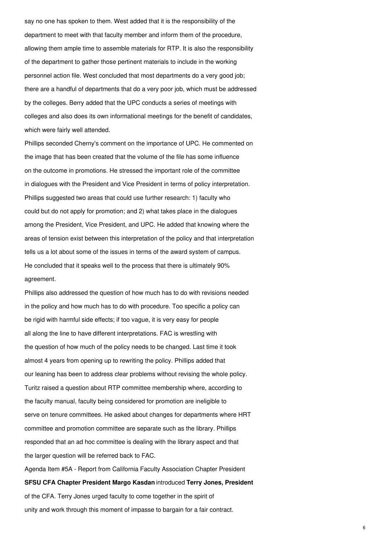say no one has spoken to them. West added that it is the responsibility of the department to meet with that faculty member and inform them of the procedure, allowing them ample time to assemble materials for RTP. It is also the responsibility of the department to gather those pertinent materials to include in the working personnel action file. West concluded that most departments do a very good job; there are a handful of departments that do a very poor job, which must be addressed by the colleges. Berry added that the UPC conducts a series of meetings with colleges and also does its own informational meetings for the benefit of candidates, which were fairly well attended.

Phillips seconded Cherny's comment on the importance of UPC. He commented on the image that has been created that the volume of the file has some influence on the outcome in promotions. He stressed the important role of the committee in dialogues with the President and Vice President in terms of policy interpretation. Phillips suggested two areas that could use further research: 1) faculty who could but do not apply for promotion; and 2) what takes place in the dialogues among the President, Vice President, and UPC. He added that knowing where the areas of tension exist between this interpretation of the policy and that interpretation tells us a lot about some of the issues in terms of the award system of campus. He concluded that it speaks well to the process that there is ultimately 90% agreement.

Phillips also addressed the question of how much has to do with revisions needed in the policy and how much has to do with procedure. Too specific a policy can be rigid with harmful side effects; if too vague, it is very easy for people all along the line to have different interpretations. FAC is wrestling with the question of how much of the policy needs to be changed. Last time it took almost 4 years from opening up to rewriting the policy. Phillips added that our leaning has been to address clear problems without revising the whole policy. Turitz raised a question about RTP committee membership where, according to the faculty manual, faculty being considered for promotion are ineligible to serve on tenure committees. He asked about changes for departments where HRT committee and promotion committee are separate such as the library. Phillips responded that an ad hoc committee is dealing with the library aspect and that the larger question will be referred back to FAC.

Agenda Item #5A - Report from California Faculty Association Chapter President **SFSU CFA Chapter President Margo Kasdan** introduced **Terry Jones, President** of the CFA. Terry Jones urged faculty to come together in the spirit of unity and work through this moment of impasse to bargain for a fair contract.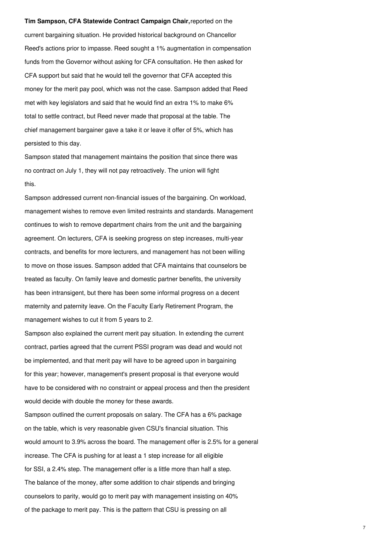#### **Tim Sampson, CFA Statewide Contract Campaign Chair,**reported on the

current bargaining situation. He provided historical background on Chancellor Reed's actions prior to impasse. Reed sought a 1% augmentation in compensation funds from the Governor without asking for CFA consultation. He then asked for CFA support but said that he would tell the governor that CFA accepted this money for the merit pay pool, which was not the case. Sampson added that Reed met with key legislators and said that he would find an extra 1% to make 6% total to settle contract, but Reed never made that proposal at the table. The chief management bargainer gave a take it or leave it offer of 5%, which has persisted to this day.

Sampson stated that management maintains the position that since there was no contract on July 1, they will not pay retroactively. The union will fight this.

Sampson addressed current non-financial issues of the bargaining. On workload, management wishes to remove even limited restraints and standards. Management continues to wish to remove department chairs from the unit and the bargaining agreement. On lecturers, CFA is seeking progress on step increases, multi-year contracts, and benefits for more lecturers, and management has not been willing to move on those issues. Sampson added that CFA maintains that counselors be treated as faculty. On family leave and domestic partner benefits, the university has been intransigent, but there has been some informal progress on a decent maternity and paternity leave. On the Faculty Early Retirement Program, the management wishes to cut it from 5 years to 2.

Sampson also explained the current merit pay situation. In extending the current contract, parties agreed that the current PSSI program was dead and would not be implemented, and that merit pay will have to be agreed upon in bargaining for this year; however, management's present proposal is that everyone would have to be considered with no constraint or appeal process and then the president would decide with double the money for these awards.

Sampson outlined the current proposals on salary. The CFA has a 6% package on the table, which is very reasonable given CSU's financial situation. This would amount to 3.9% across the board. The management offer is 2.5% for a general increase. The CFA is pushing for at least a 1 step increase for all eligible for SSI, a 2.4% step. The management offer is a little more than half a step. The balance of the money, after some addition to chair stipends and bringing counselors to parity, would go to merit pay with management insisting on 40% of the package to merit pay. This is the pattern that CSU is pressing on all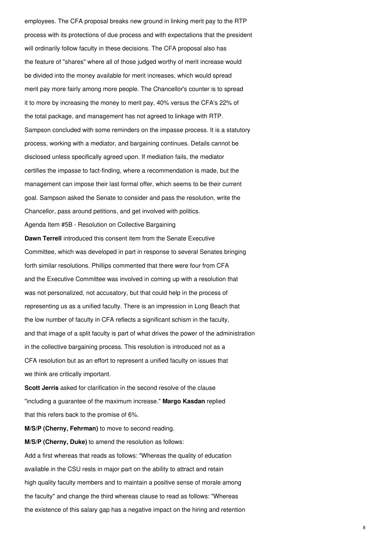employees. The CFA proposal breaks new ground in linking merit pay to the RTP process with its protections of due process and with expectations that the president will ordinarily follow faculty in these decisions. The CFA proposal also has the feature of "shares" where all of those judged worthy of merit increase would be divided into the money available for merit increases, which would spread merit pay more fairly among more people. The Chancellor's counter is to spread it to more by increasing the money to merit pay, 40% versus the CFA's 22% of the total package, and management has not agreed to linkage with RTP. Sampson concluded with some reminders on the impasse process. It is a statutory process, working with a mediator, and bargaining continues. Details cannot be disclosed unless specifically agreed upon. If mediation fails, the mediator certifies the impasse to fact-finding, where a recommendation is made, but the management can impose their last formal offer, which seems to be their current goal. Sampson asked the Senate to consider and pass the resolution, write the Chancellor, pass around petitions, and get involved with politics. Agenda Item #5B - Resolution on Collective Bargaining **Dawn Terrell** introduced this consent item from the Senate Executive Committee, which was developed in part in response to several Senates bringing forth similar resolutions. Phillips commented that there were four from CFA and the Executive Committee was involved in coming up with a resolution that was not personalized, not accusatory, but that could help in the process of representing us as a unified faculty. There is an impression in Long Beach that the low number of faculty in CFA reflects a significant schism in the faculty, and that image of a split faculty is part of what drives the power of the administration in the collective bargaining process. This resolution is introduced not as a CFA resolution but as an effort to represent a unified faculty on issues that we think are critically important.

**Scott Jerris** asked for clarification in the second resolve of the clause "including a guarantee of the maximum increase." **Margo Kasdan** replied that this refers back to the promise of 6%.

**M/S/P (Cherny, Fehrman)** to move to second reading.

**M/S/P (Cherny, Duke)** to amend the resolution as follows:

Add a first whereas that reads as follows: "Whereas the quality of education available in the CSU rests in major part on the ability to attract and retain high quality faculty members and to maintain a positive sense of morale among the faculty" and change the third whereas clause to read as follows: "Whereas the existence of this salary gap has a negative impact on the hiring and retention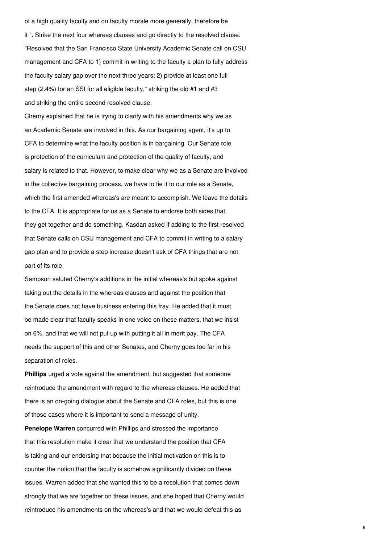of a high quality faculty and on faculty morale more generally, therefore be it ". Strike the next four whereas clauses and go directly to the resolved clause: "Resolved that the San Francisco State University Academic Senate call on CSU management and CFA to 1) commit in writing to the faculty a plan to fully address the faculty salary gap over the next three years; 2) provide at least one full step (2.4%) for an SSI for all eligible faculty," striking the old #1 and #3 and striking the entire second resolved clause.

Cherny explained that he is trying to clarify with his amendments why we as an Academic Senate are involved in this. As our bargaining agent, it's up to CFA to determine what the faculty position is in bargaining. Our Senate role is protection of the curriculum and protection of the quality of faculty, and salary is related to that. However, to make clear why we as a Senate are involved in the collective bargaining process, we have to tie it to our role as a Senate, which the first amended whereas's are meant to accomplish. We leave the details to the CFA. It is appropriate for us as a Senate to endorse both sides that they get together and do something. Kasdan asked if adding to the first resolved that Senate calls on CSU management and CFA to commit in writing to a salary gap plan and to provide a step increase doesn't ask of CFA things that are not part of its role.

Sampson saluted Cherny's additions in the initial whereas's but spoke against taking out the details in the whereas clauses and against the position that the Senate does not have business entering this fray. He added that it must be made clear that faculty speaks in one voice on these matters, that we insist on 6%, and that we will not put up with putting it all in merit pay. The CFA needs the support of this and other Senates, and Cherny goes too far in his separation of roles.

**Phillips** urged a vote against the amendment, but suggested that someone reintroduce the amendment with regard to the whereas clauses. He added that there is an on-going dialogue about the Senate and CFA roles, but this is one of those cases where it is important to send a message of unity.

**Penelope Warren** concurred with Phillips and stressed the importance that this resolution make it clear that we understand the position that CFA is taking and our endorsing that because the initial motivation on this is to counter the notion that the faculty is somehow significantly divided on these issues. Warren added that she wanted this to be a resolution that comes down strongly that we are together on these issues, and she hoped that Cherny would reintroduce his amendments on the whereas's and that we would defeat this as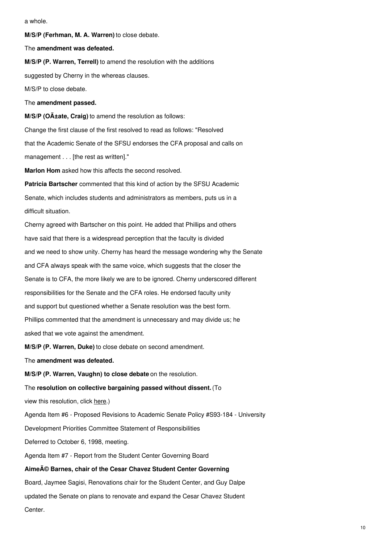a whole.

**M/S/P (Ferhman, M. A. Warren)** to close debate.

The **amendment was defeated.**

**M/S/P (P. Warren, Terrell)** to amend the resolution with the additions suggested by Cherny in the whereas clauses. M/S/P to close debate.

The **amendment passed.**

**M/S/P** (OA<sup>±ate, Craig) to amend the resolution as follows:</sup> Change the first clause of the first resolved to read as follows: "Resolved that the Academic Senate of the SFSU endorses the CFA proposal and calls on management . . . [the rest as written]."

**Marlon Hom** asked how this affects the second resolved.

**Patricia Bartscher** commented that this kind of action by the SFSU Academic Senate, which includes students and administrators as members, puts us in a difficult situation.

Cherny agreed with Bartscher on this point. He added that Phillips and others have said that there is a widespread perception that the faculty is divided and we need to show unity. Cherny has heard the message wondering why the Senate and CFA always speak with the same voice, which suggests that the closer the Senate is to CFA, the more likely we are to be ignored. Cherny underscored different responsibilities for the Senate and the CFA roles. He endorsed faculty unity and support but questioned whether a Senate resolution was the best form. Phillips commented that the amendment is unnecessary and may divide us; he asked that we vote against the amendment.

**M/S/P (P. Warren, Duke)** to close debate on second amendment.

The **amendment was defeated.**

**M/S/P (P. Warren, Vaughn) to close debate** on the resolution.

The **resolution on collective bargaining passed without dissent.**(To

view this resolution, click [here](https://senate.sfsu.edu/documents/resolutions/RF98-161).)

Agenda Item #6 - Proposed Revisions to Academic Senate Policy #S93-184 - University

Development Priorities Committee Statement of Responsibilities

Deferred to October 6, 1998, meeting.

Agenda Item #7 - Report from the Student Center Governing Board

# **Aimeé Barnes, chair of the Cesar Chavez Student Center Governing**

Board, Jaymee Sagisi, Renovations chair for the Student Center, and Guy Dalpe updated the Senate on plans to renovate and expand the Cesar Chavez Student Center.